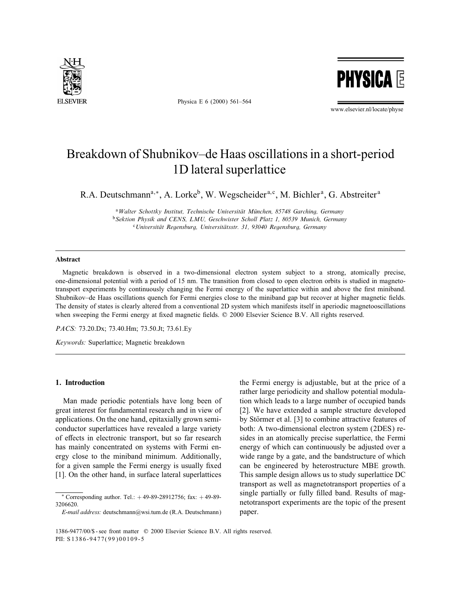

Physica E 6 (2000) 561–564

**PHYSICA E** 

www.elsevier.nl/locate/physe

# Breakdown of Shubnikov–de Haas oscillations in a short-period 1D lateral superlattice

R.A. Deutschmann<sup>a,\*</sup>, A. Lorke<sup>b</sup>, W. Wegscheider<sup>a,c</sup>, M. Bichler<sup>a</sup>, G. Abstreiter<sup>a</sup>

<sup>a</sup> Walter Schottky Institut, Technische Universität München, 85748 Garching, Germany <sup>b</sup> Sektion Physik and CENS, LMU, Geschwister Scholl Platz 1, 80539 Munich, Germany  $c$ Universität Regensburg, Universitätsstr. 31, 93040 Regensburg, Germany

# **Abstract**

Magnetic breakdown is observed in a two-dimensional electron system subject to a strong, atomically precise, one-dimensional potential with a period of 15 nm. The transition from closed to open electron orbits is studied in magnetotransport experiments by continuously changing the Fermi energy of the superlattice within and above the first miniband. Shubnikov–de Haas oscillations quench for Fermi energies close to the miniband gap but recover at higher magnetic fields. The density of states is clearly altered from a conventional 2D system which manifests itself in aperiodic magnetooscillations when sweeping the Fermi energy at fixed magnetic fields.  $© 2000$  Elsevier Science B.V. All rights reserved.

PACS: 73.20.Dx; 73.40.Hm; 73.50.Jt; 73.61.Ey

Keywords: Superlattice; Magnetic breakdown

# 1. Introduction

Man made periodic potentials have long been of great interest for fundamental research and in view of applications. On the one hand, epitaxially grown semiconductor superlattices have revealed a large variety of effects in electronic transport, but so far research has mainly concentrated on systems with Fermi energy close to the miniband minimum. Additionally, for a given sample the Fermi energy is usually fixed [1]. On the other hand, in surface lateral superlattices

the Fermi energy is adjustable, but at the price of a rather large periodicity and shallow potential modulation which leads to a large number of occupied bands [2]. We have extended a sample structure developed by Störmer et al. [3] to combine attractive features of both: A two-dimensional electron system (2DES) resides in an atomically precise superlattice, the Fermi energy of which can continuously be adjusted over a wide range by a gate, and the bandstructure of which can be engineered by heterostructure MBE growth. This sample design allows us to study superlattice DC transport as well as magnetotransport properties of a single partially or fully filled band. Results of magnetotransport experiments are the topic of the present paper.

 $*$  Corresponding author. Tel.:  $+49-89-28912756$ ; fax:  $+49-89-$ 3206620.

E-mail address: deutschmann@wsi.tum.de (R.A. Deutschmann)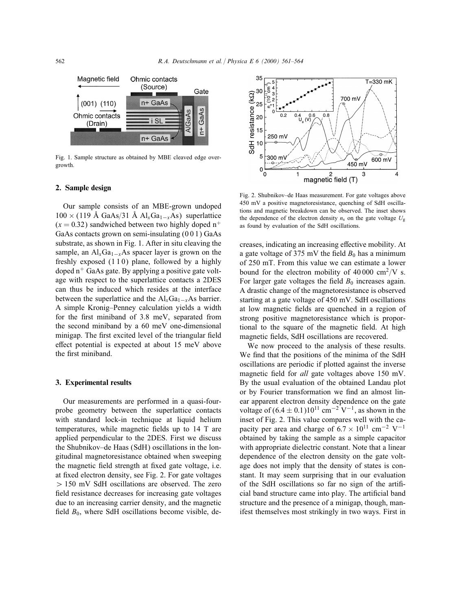

Fig. 1. Sample structure as obtained by MBE cleaved edge overgrowth.

#### 2. Sample design

Our sample consists of an MBE-grown undoped  $100 \times (119 \text{ Å GaAs}/31 \text{ Å Al}_x\text{Ga}_{1-x}\text{As})$  superlattice  $(x = 0.32)$  sandwiched between two highly doped n<sup>+</sup> GaAs contacts grown on semi-insulating (0 0 1) GaAs substrate, as shown in Fig. 1. After in situ cleaving the sample, an Al<sub>x</sub>Ga<sub>1−x</sub>As spacer layer is grown on the freshly exposed  $(110)$  plane, followed by a highly doped  $n^+$  GaAs gate. By applying a positive gate voltage with respect to the superlattice contacts a 2DES can thus be induced which resides at the interface between the superlattice and the  $Al_xGa_{1-x}As$  barrier. A simple Kronig–Penney calculation yields a width for the first miniband of 3.8 meV, separated from the second miniband by a 60 meV one-dimensional minigap. The first excited level of the triangular field effect potential is expected at about  $15 \text{ meV}$  above the first miniband.

#### 3. Experimental results

Our measurements are performed in a quasi-fourprobe geometry between the superlattice contacts with standard lock-in technique at liquid helium temperatures, while magnetic fields up to 14 T are applied perpendicular to the 2DES. First we discuss the Shubnikov–de Haas (SdH) oscillations in the longitudinal magnetoresistance obtained when sweeping the magnetic field strength at fixed gate voltage, i.e. at fixed electron density, see Fig. 2. For gate voltages  $> 150$  mV SdH oscillations are observed. The zero field resistance decreases for increasing gate voltages due to an increasing carrier density, and the magnetic field  $B_0$ , where SdH oscillations become visible, de-



Fig. 2. Shubnikov–de Haas measurement. For gate voltages above 450 mV a positive magnetoresistance, quenching of SdH oscillations and magnetic breakdown can be observed. The inset shows the dependence of the electron density  $n_s$  on the gate voltage  $U_g$ as found by evaluation of the SdH oscillations.

creases, indicating an increasing effective mobility. At a gate voltage of 375 mV the field  $B_0$  has a minimum of 250 mT. From this value we can estimate a lower bound for the electron mobility of 40 000 cm<sup>2</sup>/V s. For larger gate voltages the field  $B_0$  increases again. A drastic change of the magnetoresistance is observed starting at a gate voltage of 450 mV. SdH oscillations at low magnetic fields are quenched in a region of strong positive magnetoresistance which is proportional to the square of the magnetic field. At high magnetic fields, SdH oscillations are recovered.

We now proceed to the analysis of these results. We find that the positions of the minima of the SdH oscillations are periodic if plotted against the inverse magnetic field for *all* gate voltages above 150 mV. By the usual evaluation of the obtained Landau plot or by Fourier transformation we find an almost linear apparent electron density dependence on the gate voltage of  $(6.4 \pm 0.1)10^{11}$  cm<sup>-2</sup> V<sup>-1</sup>, as shown in the inset of Fig. 2. This value compares well with the capacity per area and charge of  $6.7 \times 10^{11}$  cm<sup>-2</sup> V<sup>-1</sup> obtained by taking the sample as a simple capacitor with appropriate dielectric constant. Note that a linear dependence of the electron density on the gate voltage does not imply that the density of states is constant. It may seem surprising that in our evaluation of the SdH oscillations so far no sign of the arti cial band structure came into play. The articial band structure and the presence of a minigap, though, manifest themselves most strikingly in two ways. First in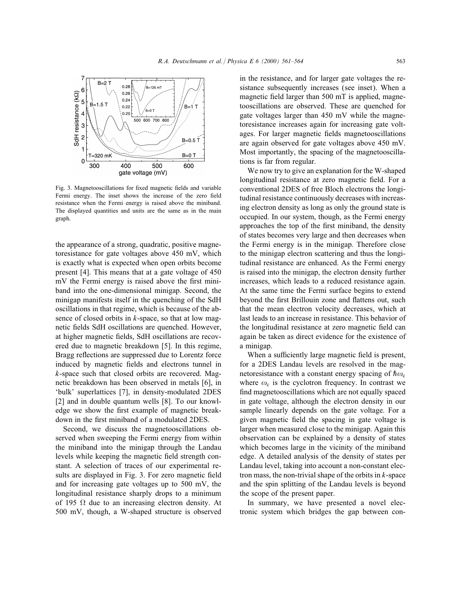

Fig. 3. Magnetooscillations for fixed magnetic fields and variable Fermi energy. The inset shows the increase of the zero field resistance when the Fermi energy is raised above the miniband. The displayed quantities and units are the same as in the main graph.

the appearance of a strong, quadratic, positive magnetoresistance for gate voltages above 450 mV, which is exactly what is expected when open orbits become present [4]. This means that at a gate voltage of 450  $mV$  the Fermi energy is raised above the first miniband into the one-dimensional minigap. Second, the minigap manifests itself in the quenching of the SdH oscillations in that regime, which is because of the absence of closed orbits in  $k$ -space, so that at low magnetic fields SdH oscillations are quenched. However, at higher magnetic fields, SdH oscillations are recovered due to magnetic breakdown [5]. In this regime, Bragg reflections are suppressed due to Lorentz force induced by magnetic fields and electrons tunnel in k-space such that closed orbits are recovered. Magnetic breakdown has been observed in metals [6], in 'bulk' superlattices [7], in density-modulated 2DES [2] and in double quantum wells [8]. To our knowledge we show the first example of magnetic breakdown in the first miniband of a modulated 2DES.

Second, we discuss the magnetooscillations observed when sweeping the Fermi energy from within the miniband into the minigap through the Landau levels while keeping the magnetic field strength constant. A selection of traces of our experimental results are displayed in Fig. 3. For zero magnetic field and for increasing gate voltages up to 500 mV, the longitudinal resistance sharply drops to a minimum of 195  $\Omega$  due to an increasing electron density. At 500 mV, though, a W-shaped structure is observed

in the resistance, and for larger gate voltages the resistance subsequently increases (see inset). When a magnetic field larger than  $500$  mT is applied, magnetooscillations are observed. These are quenched for gate voltages larger than 450 mV while the magnetoresistance increases again for increasing gate voltages. For larger magnetic fields magnetooscillations are again observed for gate voltages above 450 mV. Most importantly, the spacing of the magnetooscillations is far from regular.

We now try to give an explanation for the W-shaped longitudinal resistance at zero magnetic field. For a conventional 2DES of free Bloch electrons the longitudinal resistance continuously decreases with increasing electron density as long as only the ground state is occupied. In our system, though, as the Fermi energy approaches the top of the first miniband, the density of states becomes very large and then decreases when the Fermi energy is in the minigap. Therefore close to the minigap electron scattering and thus the longitudinal resistance are enhanced. As the Fermi energy is raised into the minigap, the electron density further increases, which leads to a reduced resistance again. At the same time the Fermi surface begins to extend beyond the first Brillouin zone and flattens out, such that the mean electron velocity decreases, which at last leads to an increase in resistance. This behavior of the longitudinal resistance at zero magnetic field can again be taken as direct evidence for the existence of a minigap.

When a sufficiently large magnetic field is present, for a 2DES Landau levels are resolved in the magnetoresistance with a constant energy spacing of  $\hbar \omega_c$ where  $\omega_c$  is the cyclotron frequency. In contrast we find magnetooscillations which are not equally spaced in gate voltage, although the electron density in our sample linearly depends on the gate voltage. For a given magnetic field the spacing in gate voltage is larger when measured close to the minigap. Again this observation can be explained by a density of states which becomes large in the vicinity of the miniband edge. A detailed analysis of the density of states per Landau level, taking into account a non-constant electron mass, the non-trivial shape of the orbits in  $k$ -space and the spin splitting of the Landau levels is beyond the scope of the present paper.

In summary, we have presented a novel electronic system which bridges the gap between con-